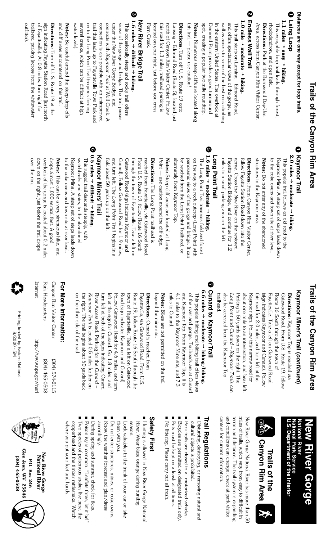|   | Trails of the Canyon Rim Area                                                                        |                                                                                                         |
|---|------------------------------------------------------------------------------------------------------|---------------------------------------------------------------------------------------------------------|
|   | Distances are one way except for loop trails.                                                        | €<br>Kaymoor Trail                                                                                      |
| C | <b>Laing Loop</b>                                                                                    | 2.0 miles $\rightarrow$ moderate $\rightarrow$ hiking.<br>This popular trail follows an old road to the |
|   | 1.1 miles $\rightarrow$ easy $\rightarrow$ hiking<br>This enjoyable loop trail leads through forest, | Kaymoor Mine. A steep set of steps leads down                                                           |
|   | rhododendron, and open field.                                                                        | to the coke ovens and town site at river level.                                                         |
|   | <b>Directions:</b> Park at the Burnwood Day-Use                                                      | Notes: Do not enter any of the abandoned                                                                |
|   | Area, across from Canyon Rim Visitor Center.                                                         | structures in the Kaymoor area.                                                                         |
| ◙ | Endless Wall Trail                                                                                   | Directions: From Canyon Rim Visitor Center,                                                             |
|   | $1.0$ mile $\rightarrow$ moderate $\rightarrow$ hiking.                                              | follow Fayette Station Road down into the                                                               |
|   | This trail starts on Lansing - Edmond Road                                                           | gorge. Cross the New River on the restored                                                              |
|   | and offers spectacular views of the gorge, as                                                        | Fayette Station Bridge, and continue for 1.2                                                            |
|   | well as access to some of the best rock climbing                                                     | miles to a small parking area on the left.                                                              |
|   | in the eastern United States. The overlook at                                                        | Long Point Trail                                                                                        |
|   | Diamond Point provides a good turnaround                                                             | ❺<br>$1.6$ miles $\rightarrow$ moderate $\rightarrow$ hiking.                                           |
|   | spot, creating a popular two-mile roundtrip.                                                         | The Long Point Trail traverses field and forest                                                         |
|   | Notes: Numerous steep cliffs are located along                                                       | on the way to a rock outcrop (Long Point) with                                                          |
|   | this trail — please use caution!                                                                     | panoramic views of the gorge and bridge. It can                                                         |
|   | Directions: Turn off U.S. Route 19 onto                                                              | be reached from the Long Point Trailhead, or                                                            |
|   | Lansing - Edmond Road (Route 5), located just                                                        | alternately from Kaymoor Top.                                                                           |
|   | north of Canyon Rim Visitor Center. Follow                                                           | Notes: Steep cliff areas are located at Long                                                            |
|   | this road for 1.3 miles; trailhead parking is                                                        | Point — use caution around the cliff edge                                                               |
|   | located on your right, just before you cross                                                         | Directions: The Long Point trailhead is                                                                 |
|   | Fern Creek.                                                                                          | reached from Fayetteville, via Gatewood Road.                                                           |
|   | <b>New River Bridge Trail</b>                                                                        | From U.S. Route 19, follow Route 16 South                                                               |
| ◎ | $1.6$ miles $\rightarrow$ difficult $\rightarrow$ hiking.                                            | through the town of Fayetteville. Take a left on                                                        |
|   | This occasionally steep and rocky trail offers                                                       | Gatewood Road (sign indicates Kaymoor and                                                               |
|   | views of the gorge and bridge. The trail passes                                                      | Cunard). Follow Gatewood Road for 1.9 miles,                                                            |
|   | under the New River Gorge Bridge, and                                                                | and turn left. The Long Point Trail begins in a                                                         |
|   | connects with Kaymoor Trail at Wolf Creek. A                                                         | field about 50 yards up on the left.                                                                    |
|   | connection is also possible with an unimproved                                                       | Kaymoor Miners, Trail                                                                                   |
|   | trail that leads up to Fayetteville Town Park and                                                    | ❺<br>0.5 miles $\rightarrow$ difficult $\rightarrow$ hiking.                                            |
|   | several creeks, which can be difficult at high<br>on to the Long Point Trail (requires fording       | This rugged trail descends steeply, with                                                                |
|   | water levels).                                                                                       | switchbacks and stairs, to the abandoned                                                                |
|   | Notes: Be careful around the steep drop-offs                                                         | to the coke ovens and town site at river level.<br>Kaymoor Mine. A steep set of steps leads down        |
|   | and cliff areas encountered on this trail                                                            |                                                                                                         |
|   | <b>Directions:</b> Turn off U. S. Route 19 at the                                                    | Notes: This can be a very strenuous hike, and                                                           |
|   | sign indicating Fayette Station Road (just north                                                     | drops almost 1,000 vertical feet. A good                                                                |
|   | of Fayetteville). At 0.8 miles, turn right for                                                       | down on the right, just before the trail drops<br>overlook of the gorge is located about 0.2 miles      |
|   | trailhead parking (across from the whitewater                                                        | over the rim.                                                                                           |
|   | outiitter)                                                                                           |                                                                                                         |
|   |                                                                                                      |                                                                                                         |

# **Trails of the Canyon Rim Area Trails of the Canyon Rim AreaTrails of the Canyon Rim Area**

# Kaymoor Miner's Trail (*continued*) **Kaymoor Miner's Trail (continued)**

about one mile to an intersection, and bear left. trailhead. also be accessed from the Kaymoor Top Parking is 50 yards down on the right. The this road for 2.0 miles, and turn left at the (sign indicates Kaymoor and Cunard). Follow Fayetteville. Take a left on Gatewood Road Route 16 South through the town of Gatewood Road. From U.S. Route 19, follow **Directions**: Kaymoor Top is reached via trailhead. also be accessed from the Kaymoor Top *Long Point* Parking is 50 yards down on the right. The about one mile to an intersection, and bear left. Kaymoor sign. Follow this narrow road for Kaymoor sign. Follow this narrow road for this road for 2.0 miles, and turn left at the (sign indicates Kaymoor and Cunard). Follow Fayetteville. Take a left on Gatewood Road Route 16 South through the town of Gatewood Road. From U.S. Route 19, follow **Directions**: Kaymoor Top is reached via and *Cunard – Kaymoor Trails*can

6

모

## **7 Cunard to Kaymoor Trail Cunard to Kaymoor Trail**

**6.6 miles**  4.1 miles to the Kaymoor Mine site, and 7.3 and Kaymoor Top. From Kaymoor Top, it is of the river and gorge. Trailheads are at Cunard miles to Cunard. This popular hiking and biking trail offers views miles to Cunard. 4.1 miles to the Kaymoor Mine site, and 7.3 and Kaymoor Top. From Kaymoor Top, it is of the river and gorge. Trailheads are at Cunard This popular hiking and biking trail offers views → **moderate**  → **hiking /biking.**

beyond the mine site. **Notes:** Bikes are not permitted on the trail beyond the mine site. Bikes are not permitted on the trail

the right. The trail begins about 50 yards back River Access Road. Parking for the Cunard turn left at both of the signs indicating Cunard left at the sign for Cunard. Go 1.8 miles, and Road (sign indicates Kaymoor and Cunard). town of Fayetteville. Take a left on Gatewood Route 19, follow Route 16 South through the on the other side of the road. on the other side of the road. the right. The trail begins about 50 yards back Kaymoor Trail is located 0.5 miles further on *Kaymoor Trail*River Access Road. Parking for the turn left at both of the signs indicating Cunard left at the sign for Cunard. Go 1.8 miles, and Follow Gatewood Road for 4.6 miles, and turn Follow Gatewood Road for 4.6 miles, and turn Road (sign indicates Kaymoor and Cunard). town of Fayetteville. Take a left on Gatewood Route 19, follow Route 16 South through the Fayetteville, via Gatewood Road. From U.S. Fayetteville, via Gatewood Road. From U.S. **Directions:** Cunard is reached from **Directions** : Cunard is reached from is located 0.5 miles further on *Cunard –*

## **For More Information: For More Information:**

| Internet                | Park Headquarters | Canyon Rim Visitor Center |
|-------------------------|-------------------|---------------------------|
| http://www.nps.gov/neri | 8050-594 (POS)    | (304) 574-2115            |

Printing funded by Eastern National Printing funded by Eastern National NS-0007/8 8/2000 - 5M

#### National River<br>National Park Service<br>U.S. Department of the Interior **National Park Service National River New River Gorge** New River Gorge

**U.S. Department of the Interior**



RE

and conditions can change; check at park visitor centers tor current information. centers for current information. and conditions can change; check at park visitor terrain and distance. The trail system is expanding terrain and distance. The trail system is expanding miles of trails, which vary from easy to difficult in miles of trails, which vary from easy to difficult in New River Gorge National River has more than 50 New River Gorge National River has more than 50

### **Trail Regulations <u> Frail Regulations</u>**

- Disturbing, destroying, or removing natural and cultural objects is prohibited. cultural objects is prohibited. Disturbing, destroying, or removing natural and
- Park trails are closed to all motorized vehicles. Park trails are closed to all motorized vehicles.

■

- Bicycles are permitted on designated trails only. Bicycles are permitted on designated trails only.
- Pets must be kept on a leash at all times. Pets must be kept on a leash at all times.
- No littering. Please carry out all trash. No littering. Please carry out all trash.

#### **Safety First Safety First**

- Hunting is allowed in New River Gorge National River. Wear blaze orange during hunting River. Wear blaze orange during hunting Hunting is allowed in New River Gorge National
- **Lock valuables in the trunk of your car or take** season. them with you. Lock valuables in the trunk of your car or take season.
- Do not enter structures, mines, or coke ovens them with you. Do not enter structures, mines, or coke ovens.
- Know the weather torecast and plan/dress accordingly. accordingly. Know the weather forecast and plan/dress
- During spring and summer, check for ticks. During spring and summer, check for ticks.
- Poison ivy is common. "Leaflets three, let it be!' Poison ivy is common. "Leaflets three, let it be!"
- Two species of poisonous snakes live here, the Two species of poisonous snakes live here, the
- where you put your feet and hands. copperhead and the timber rattlesnake. Watch where you put your feet and hands. copperhead and the timber rattlesnake. Watch



Glen Jean, WV 25846 **Glen Jean, WV 25846** New River Gorge<br>National River **New River Gorge** (304) 465-0508 **National River (304) 465-0508** P.O. Box 246 **P.O. Box 246**